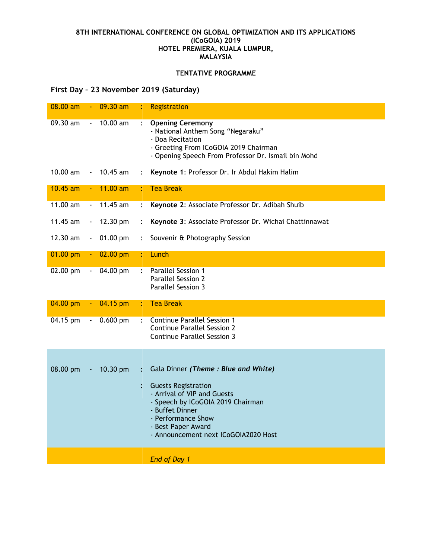## **8TH INTERNATIONAL CONFERENCE ON GLOBAL OPTIMIZATION AND ITS APPLICATIONS (ICoGOIA) 2019 HOTEL PREMIERA, KUALA LUMPUR, MALAYSIA**

## **TENTATIVE PROGRAMME**

## **First Day – 23 November 2019 (Saturday)**

| 08.00 am   |                          | $09.30$ am |                           | Registration                                                                                                                                                                                          |
|------------|--------------------------|------------|---------------------------|-------------------------------------------------------------------------------------------------------------------------------------------------------------------------------------------------------|
| 09.30 am   |                          | 10.00 am   |                           | <b>Opening Ceremony</b><br>- National Anthem Song "Negaraku"<br>- Doa Recitation<br>- Greeting From ICoGOIA 2019 Chairman<br>- Opening Speech From Professor Dr. Ismail bin Mohd                      |
| $10.00$ am |                          | $10.45$ am | $\ddot{\cdot}$            | Keynote 1: Professor Dr. Ir Abdul Hakim Halim                                                                                                                                                         |
| $10.45$ am |                          | $11.00$ am | ÷                         | <b>Tea Break</b>                                                                                                                                                                                      |
| 11.00 am   | $\blacksquare$           | 11.45 am   | $\ddot{\cdot}$            | Keynote 2: Associate Professor Dr. Adibah Shuib                                                                                                                                                       |
| 11.45 am   | $\overline{\phantom{a}}$ | 12.30 pm   | $\ddot{\cdot}$            | Keynote 3: Associate Professor Dr. Wichai Chattinnawat                                                                                                                                                |
| 12.30 am   |                          | 01.00 pm   | $\ddot{\cdot}$            | Souvenir & Photography Session                                                                                                                                                                        |
| 01.00 pm   | $\blacksquare$           | 02.00 pm   | ÷                         | Lunch                                                                                                                                                                                                 |
| 02.00 pm   | $\overline{\phantom{a}}$ | 04.00 pm   | $\ddot{\cdot}$            | <b>Parallel Session 1</b><br><b>Parallel Session 2</b><br>Parallel Session 3                                                                                                                          |
| 04.00 pm   |                          | 04.15 pm   | ÷                         | <b>Tea Break</b>                                                                                                                                                                                      |
| 04.15 pm   | $\blacksquare$           | $0.600$ pm | $\mathbb{R}^{\mathbb{Z}}$ | <b>Continue Parallel Session 1</b><br><b>Continue Parallel Session 2</b><br><b>Continue Parallel Session 3</b>                                                                                        |
|            |                          |            |                           |                                                                                                                                                                                                       |
| 08.00 pm   |                          | 10.30 pm   | $\ddot{\cdot}$            | Gala Dinner (Theme: Blue and White)                                                                                                                                                                   |
|            |                          |            |                           | <b>Guests Registration</b><br>- Arrival of VIP and Guests<br>- Speech by ICoGOIA 2019 Chairman<br>- Buffet Dinner<br>- Performance Show<br>- Best Paper Award<br>- Announcement next ICoGOIA2020 Host |
|            |                          |            |                           | End of Day 1                                                                                                                                                                                          |